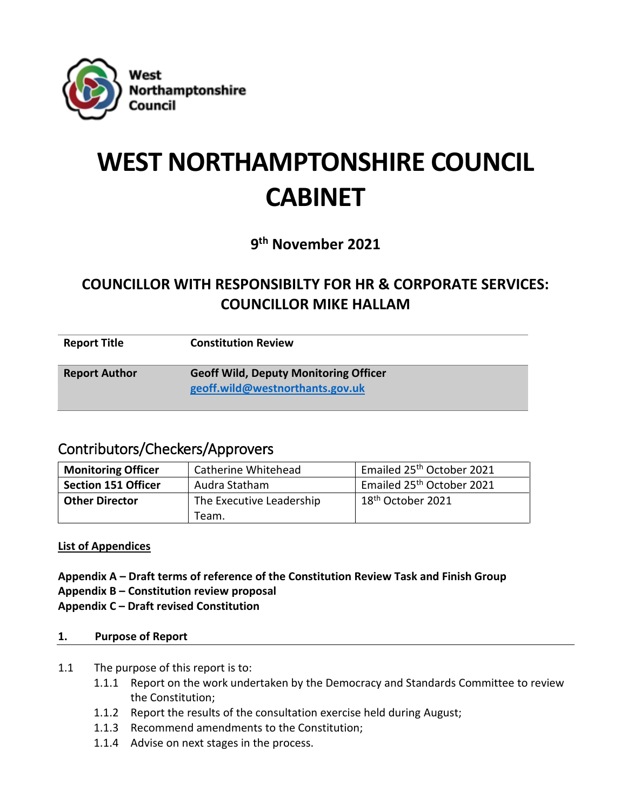

# **WEST NORTHAMPTONSHIRE COUNCIL CABINET**

**9 th November 2021**

# **COUNCILLOR WITH RESPONSIBILTY FOR HR & CORPORATE SERVICES: COUNCILLOR MIKE HALLAM**

| <b>Report Title</b>  | <b>Constitution Review</b>                                                      |
|----------------------|---------------------------------------------------------------------------------|
| <b>Report Author</b> | <b>Geoff Wild, Deputy Monitoring Officer</b><br>geoff.wild@westnorthants.gov.uk |

# Contributors/Checkers/Approvers

| <b>Monitoring Officer</b>  | <b>Catherine Whitehead</b> | Emailed 25 <sup>th</sup> October 2021 |
|----------------------------|----------------------------|---------------------------------------|
| <b>Section 151 Officer</b> | Audra Statham              | Emailed 25 <sup>th</sup> October 2021 |
| <b>Other Director</b>      | The Executive Leadership   | 18 <sup>th</sup> October 2021         |
|                            | Team.                      |                                       |

# **List of Appendices**

- **Appendix A – Draft terms of reference of the Constitution Review Task and Finish Group**
- **Appendix B – Constitution review proposal**
- **Appendix C – Draft revised Constitution**

### **1. Purpose of Report**

- 1.1 The purpose of this report is to:
	- 1.1.1 Report on the work undertaken by the Democracy and Standards Committee to review the Constitution;
	- 1.1.2 Report the results of the consultation exercise held during August;
	- 1.1.3 Recommend amendments to the Constitution;
	- 1.1.4 Advise on next stages in the process.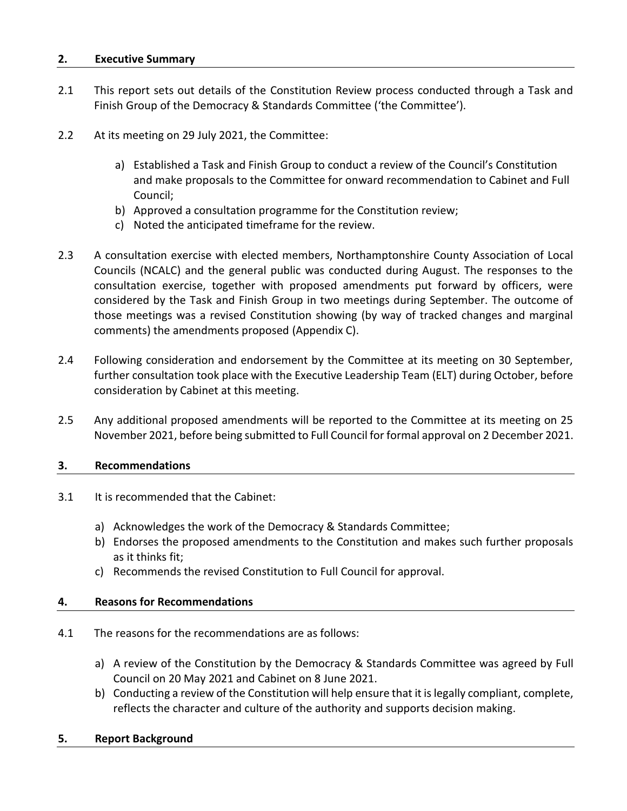#### **2. Executive Summary**

- 2.1 This report sets out details of the Constitution Review process conducted through a Task and Finish Group of the Democracy & Standards Committee ('the Committee').
- 2.2 At its meeting on 29 July 2021, the Committee:
	- a) Established a Task and Finish Group to conduct a review of the Council's Constitution and make proposals to the Committee for onward recommendation to Cabinet and Full Council;
	- b) Approved a consultation programme for the Constitution review;
	- c) Noted the anticipated timeframe for the review.
- 2.3 A consultation exercise with elected members, Northamptonshire County Association of Local Councils (NCALC) and the general public was conducted during August. The responses to the consultation exercise, together with proposed amendments put forward by officers, were considered by the Task and Finish Group in two meetings during September. The outcome of those meetings was a revised Constitution showing (by way of tracked changes and marginal comments) the amendments proposed (Appendix C).
- 2.4 Following consideration and endorsement by the Committee at its meeting on 30 September, further consultation took place with the Executive Leadership Team (ELT) during October, before consideration by Cabinet at this meeting.
- 2.5 Any additional proposed amendments will be reported to the Committee at its meeting on 25 November 2021, before being submitted to Full Council for formal approval on 2 December 2021.

#### **3. Recommendations**

- 3.1 It is recommended that the Cabinet:
	- a) Acknowledges the work of the Democracy & Standards Committee;
	- b) Endorses the proposed amendments to the Constitution and makes such further proposals as it thinks fit;
	- c) Recommends the revised Constitution to Full Council for approval.

#### **4. Reasons for Recommendations**

- 4.1 The reasons for the recommendations are as follows:
	- a) A review of the Constitution by the Democracy & Standards Committee was agreed by Full Council on 20 May 2021 and Cabinet on 8 June 2021.
	- b) Conducting a review of the Constitution will help ensure that it is legally compliant, complete, reflects the character and culture of the authority and supports decision making.
- **5. Report Background**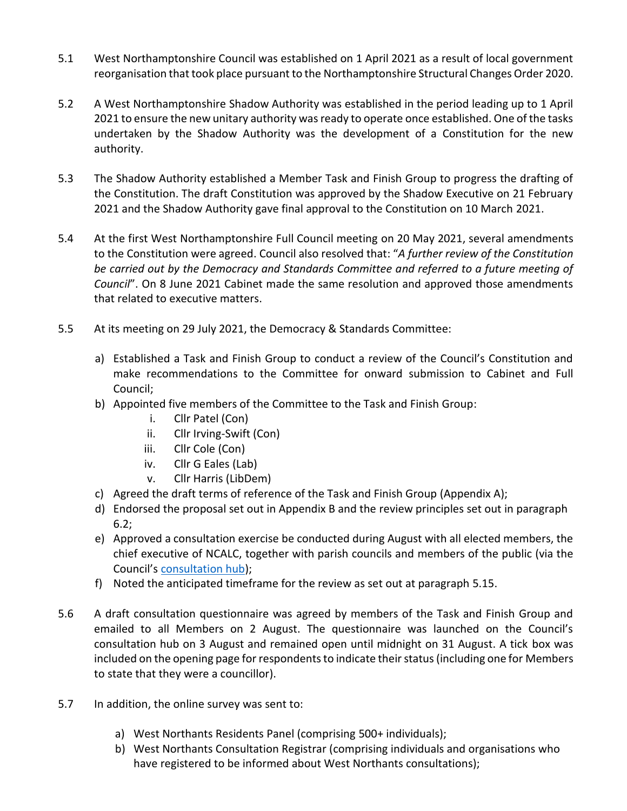- 5.1 West Northamptonshire Council was established on 1 April 2021 as a result of local government reorganisation that took place pursuant to the Northamptonshire Structural Changes Order 2020.
- 5.2 A West Northamptonshire Shadow Authority was established in the period leading up to 1 April 2021 to ensure the new unitary authority was ready to operate once established. One of the tasks undertaken by the Shadow Authority was the development of a Constitution for the new authority.
- 5.3 The Shadow Authority established a Member Task and Finish Group to progress the drafting of the Constitution. The draft Constitution was approved by the Shadow Executive on 21 February 2021 and the Shadow Authority gave final approval to the Constitution on 10 March 2021.
- 5.4 At the first West Northamptonshire Full Council meeting on 20 May 2021, several amendments to the Constitution were agreed. Council also resolved that: "*A further review of the Constitution be carried out by the Democracy and Standards Committee and referred to a future meeting of Council*". On 8 June 2021 Cabinet made the same resolution and approved those amendments that related to executive matters.
- 5.5 At its meeting on 29 July 2021, the Democracy & Standards Committee:
	- a) Established a Task and Finish Group to conduct a review of the Council's Constitution and make recommendations to the Committee for onward submission to Cabinet and Full Council;
	- b) Appointed five members of the Committee to the Task and Finish Group:
		- i. Cllr Patel (Con)
		- ii. Cllr Irving-Swift (Con)
		- iii. Cllr Cole (Con)
		- iv. Cllr G Eales (Lab)
		- v. Cllr Harris (LibDem)
	- c) Agreed the draft terms of reference of the Task and Finish Group (Appendix A);
	- d) Endorsed the proposal set out in Appendix B and the review principles set out in paragraph 6.2;
	- e) Approved a consultation exercise be conducted during August with all elected members, the chief executive of NCALC, together with parish councils and members of the public (via the Council's [consultation hub\)](https://westnorthants.citizenspace.com/);
	- f) Noted the anticipated timeframe for the review as set out at paragraph 5.15.
- 5.6 A draft consultation questionnaire was agreed by members of the Task and Finish Group and emailed to all Members on 2 August. The questionnaire was launched on the Council's consultation hub on 3 August and remained open until midnight on 31 August. A tick box was included on the opening page for respondents to indicate their status (including one for Members to state that they were a councillor).
- 5.7 In addition, the online survey was sent to:
	- a) West Northants Residents Panel (comprising 500+ individuals);
	- b) West Northants Consultation Registrar (comprising individuals and organisations who have registered to be informed about West Northants consultations);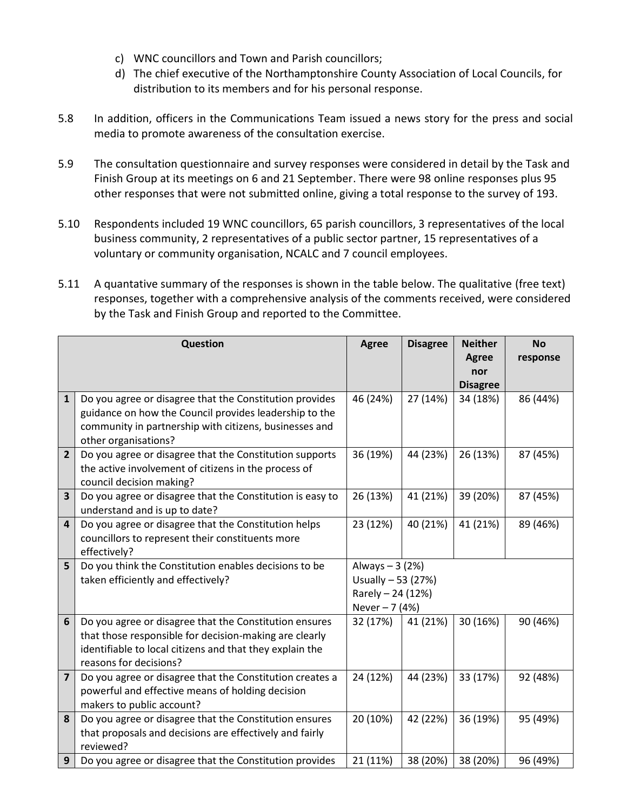- c) WNC councillors and Town and Parish councillors;
- d) The chief executive of the Northamptonshire County Association of Local Councils, for distribution to its members and for his personal response.
- 5.8 In addition, officers in the Communications Team issued a news story for the press and social media to promote awareness of the consultation exercise.
- 5.9 The consultation questionnaire and survey responses were considered in detail by the Task and Finish Group at its meetings on 6 and 21 September. There were 98 online responses plus 95 other responses that were not submitted online, giving a total response to the survey of 193.
- 5.10 Respondents included 19 WNC councillors, 65 parish councillors, 3 representatives of the local business community, 2 representatives of a public sector partner, 15 representatives of a voluntary or community organisation, NCALC and 7 council employees.
- 5.11 A quantative summary of the responses is shown in the table below. The qualitative (free text) responses, together with a comprehensive analysis of the comments received, were considered by the Task and Finish Group and reported to the Committee.

|                | <b>Question</b>                                                                       | <b>Agree</b>       | <b>Disagree</b> | <b>Neither</b>  | <b>No</b> |
|----------------|---------------------------------------------------------------------------------------|--------------------|-----------------|-----------------|-----------|
|                |                                                                                       |                    |                 | <b>Agree</b>    | response  |
|                |                                                                                       |                    |                 | nor             |           |
|                |                                                                                       |                    |                 | <b>Disagree</b> |           |
| $\mathbf{1}$   | Do you agree or disagree that the Constitution provides                               | 46 (24%)           | 27 (14%)        | 34 (18%)        | 86 (44%)  |
|                | guidance on how the Council provides leadership to the                                |                    |                 |                 |           |
|                | community in partnership with citizens, businesses and                                |                    |                 |                 |           |
|                | other organisations?                                                                  |                    |                 |                 |           |
| $\overline{2}$ | Do you agree or disagree that the Constitution supports                               | 36 (19%)           | 44 (23%)        | 26 (13%)        | 87 (45%)  |
|                | the active involvement of citizens in the process of                                  |                    |                 |                 |           |
| 3              | council decision making?<br>Do you agree or disagree that the Constitution is easy to | 26 (13%)           | 41 (21%)        | 39 (20%)        | 87 (45%)  |
|                | understand and is up to date?                                                         |                    |                 |                 |           |
| 4              | Do you agree or disagree that the Constitution helps                                  | 23 (12%)           | 40 (21%)        | 41 (21%)        | 89 (46%)  |
|                | councillors to represent their constituents more                                      |                    |                 |                 |           |
|                | effectively?                                                                          |                    |                 |                 |           |
| 5              | Do you think the Constitution enables decisions to be                                 | Always - 3 (2%)    |                 |                 |           |
|                | taken efficiently and effectively?                                                    | Usually - 53 (27%) |                 |                 |           |
|                |                                                                                       | Rarely - 24 (12%)  |                 |                 |           |
|                |                                                                                       | Never - 7 (4%)     |                 |                 |           |
| 6              | Do you agree or disagree that the Constitution ensures                                | 32 (17%)           | 41 (21%)        | 30 (16%)        | 90 (46%)  |
|                | that those responsible for decision-making are clearly                                |                    |                 |                 |           |
|                | identifiable to local citizens and that they explain the                              |                    |                 |                 |           |
|                | reasons for decisions?                                                                |                    |                 |                 |           |
| 7              | Do you agree or disagree that the Constitution creates a                              | 24 (12%)           | 44 (23%)        | 33 (17%)        | 92 (48%)  |
|                | powerful and effective means of holding decision                                      |                    |                 |                 |           |
|                | makers to public account?                                                             |                    |                 |                 |           |
| 8              | Do you agree or disagree that the Constitution ensures                                | 20 (10%)           | 42 (22%)        | 36 (19%)        | 95 (49%)  |
|                | that proposals and decisions are effectively and fairly                               |                    |                 |                 |           |
|                | reviewed?                                                                             |                    |                 |                 |           |
| 9              | Do you agree or disagree that the Constitution provides                               | 21 (11%)           | 38 (20%)        | 38 (20%)        | 96 (49%)  |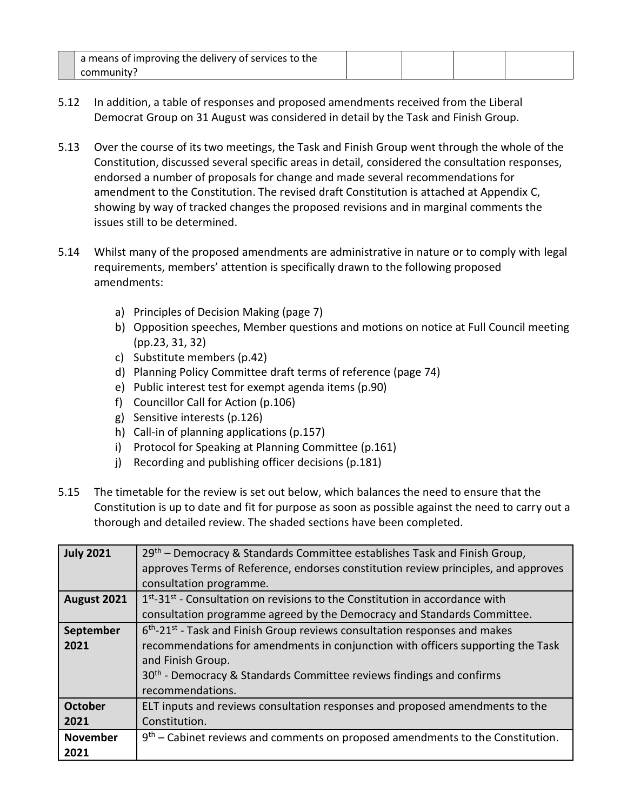| a means of improving the delivery of services to the |  |  |
|------------------------------------------------------|--|--|
| community?                                           |  |  |

- 5.12 In addition, a table of responses and proposed amendments received from the Liberal Democrat Group on 31 August was considered in detail by the Task and Finish Group.
- 5.13 Over the course of its two meetings, the Task and Finish Group went through the whole of the Constitution, discussed several specific areas in detail, considered the consultation responses, endorsed a number of proposals for change and made several recommendations for amendment to the Constitution. The revised draft Constitution is attached at Appendix C, showing by way of tracked changes the proposed revisions and in marginal comments the issues still to be determined.
- 5.14 Whilst many of the proposed amendments are administrative in nature or to comply with legal requirements, members' attention is specifically drawn to the following proposed amendments:
	- a) Principles of Decision Making (page 7)
	- b) Opposition speeches, Member questions and motions on notice at Full Council meeting (pp.23, 31, 32)
	- c) Substitute members (p.42)
	- d) Planning Policy Committee draft terms of reference (page 74)
	- e) Public interest test for exempt agenda items (p.90)
	- f) Councillor Call for Action (p.106)
	- g) Sensitive interests (p.126)
	- h) Call-in of planning applications (p.157)
	- i) Protocol for Speaking at Planning Committee (p.161)
	- j) Recording and publishing officer decisions (p.181)
- 5.15 The timetable for the review is set out below, which balances the need to ensure that the Constitution is up to date and fit for purpose as soon as possible against the need to carry out a thorough and detailed review. The shaded sections have been completed.

| <b>July 2021</b>        | $29th$ – Democracy & Standards Committee establishes Task and Finish Group,<br>approves Terms of Reference, endorses constitution review principles, and approves<br>consultation programme.                                                                                                             |  |  |
|-------------------------|----------------------------------------------------------------------------------------------------------------------------------------------------------------------------------------------------------------------------------------------------------------------------------------------------------|--|--|
| August 2021             | 1 <sup>st</sup> -31 <sup>st</sup> - Consultation on revisions to the Constitution in accordance with<br>consultation programme agreed by the Democracy and Standards Committee.                                                                                                                          |  |  |
| September<br>2021       | $6th$ -21 <sup>st</sup> - Task and Finish Group reviews consultation responses and makes<br>recommendations for amendments in conjunction with officers supporting the Task<br>and Finish Group.<br>30 <sup>th</sup> - Democracy & Standards Committee reviews findings and confirms<br>recommendations. |  |  |
| <b>October</b><br>2021  | ELT inputs and reviews consultation responses and proposed amendments to the<br>Constitution.                                                                                                                                                                                                            |  |  |
| <b>November</b><br>2021 | $9th$ – Cabinet reviews and comments on proposed amendments to the Constitution.                                                                                                                                                                                                                         |  |  |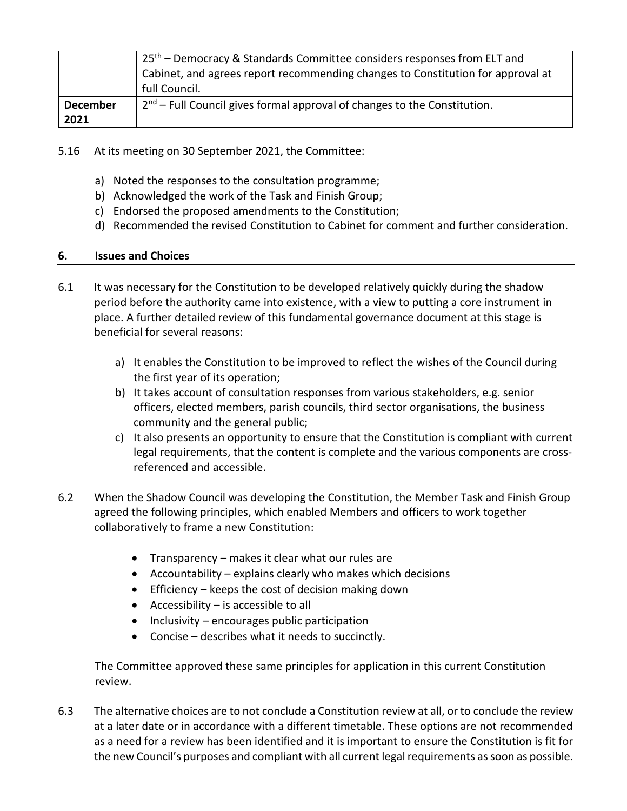|                 | 25 <sup>th</sup> – Democracy & Standards Committee considers responses from ELT and          |  |
|-----------------|----------------------------------------------------------------------------------------------|--|
|                 | Cabinet, and agrees report recommending changes to Constitution for approval at              |  |
|                 | full Council.                                                                                |  |
| <b>December</b> | $\vert$ 2 <sup>nd</sup> – Full Council gives formal approval of changes to the Constitution. |  |
| 2021            |                                                                                              |  |

- 5.16 At its meeting on 30 September 2021, the Committee:
	- a) Noted the responses to the consultation programme;
	- b) Acknowledged the work of the Task and Finish Group;
	- c) Endorsed the proposed amendments to the Constitution;
	- d) Recommended the revised Constitution to Cabinet for comment and further consideration.

#### **6. Issues and Choices**

- 6.1 It was necessary for the Constitution to be developed relatively quickly during the shadow period before the authority came into existence, with a view to putting a core instrument in place. A further detailed review of this fundamental governance document at this stage is beneficial for several reasons:
	- a) It enables the Constitution to be improved to reflect the wishes of the Council during the first year of its operation;
	- b) It takes account of consultation responses from various stakeholders, e.g. senior officers, elected members, parish councils, third sector organisations, the business community and the general public;
	- c) It also presents an opportunity to ensure that the Constitution is compliant with current legal requirements, that the content is complete and the various components are crossreferenced and accessible.
- 6.2 When the Shadow Council was developing the Constitution, the Member Task and Finish Group agreed the following principles, which enabled Members and officers to work together collaboratively to frame a new Constitution:
	- Transparency makes it clear what our rules are
	- Accountability explains clearly who makes which decisions
	- **Efficiency** keeps the cost of decision making down
	- $\bullet$  Accessibility is accessible to all
	- $\bullet$  Inclusivity encourages public participation
	- Concise describes what it needs to succinctly.

The Committee approved these same principles for application in this current Constitution review.

6.3 The alternative choices are to not conclude a Constitution review at all, or to conclude the review at a later date or in accordance with a different timetable. These options are not recommended as a need for a review has been identified and it is important to ensure the Constitution is fit for the new Council's purposes and compliant with all current legal requirements as soon as possible.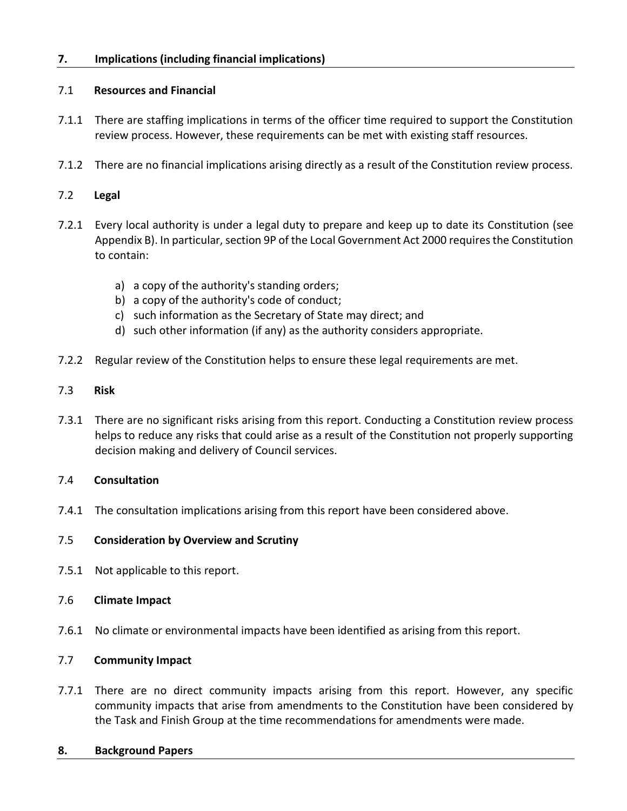#### **7. Implications (including financial implications)**

#### 7.1 **Resources and Financial**

- 7.1.1 There are staffing implications in terms of the officer time required to support the Constitution review process. However, these requirements can be met with existing staff resources.
- 7.1.2 There are no financial implications arising directly as a result of the Constitution review process.

#### 7.2 **Legal**

- 7.2.1 Every local authority is under a legal duty to prepare and keep up to date its Constitution (see Appendix B). In particular, section 9P of the Local Government Act 2000 requires the Constitution to contain:
	- a) a copy of the authority's standing orders;
	- b) a copy of the authority's code of conduct;
	- c) such information as the Secretary of State may direct; and
	- d) such other information (if any) as the authority considers appropriate.
- 7.2.2 Regular review of the Constitution helps to ensure these legal requirements are met.

#### 7.3 **Risk**

7.3.1 There are no significant risks arising from this report. Conducting a Constitution review process helps to reduce any risks that could arise as a result of the Constitution not properly supporting decision making and delivery of Council services.

#### 7.4 **Consultation**

7.4.1 The consultation implications arising from this report have been considered above.

#### 7.5 **Consideration by Overview and Scrutiny**

7.5.1 Not applicable to this report.

#### 7.6 **Climate Impact**

7.6.1 No climate or environmental impacts have been identified as arising from this report.

#### 7.7 **Community Impact**

7.7.1 There are no direct community impacts arising from this report. However, any specific community impacts that arise from amendments to the Constitution have been considered by the Task and Finish Group at the time recommendations for amendments were made.

#### **8. Background Papers**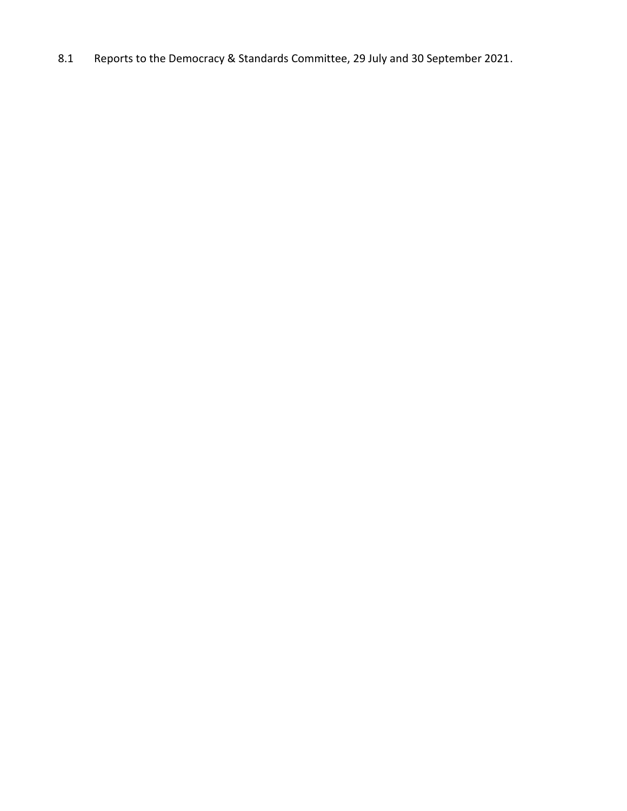8.1 Reports to the Democracy & Standards Committee, 29 July and 30 September 2021.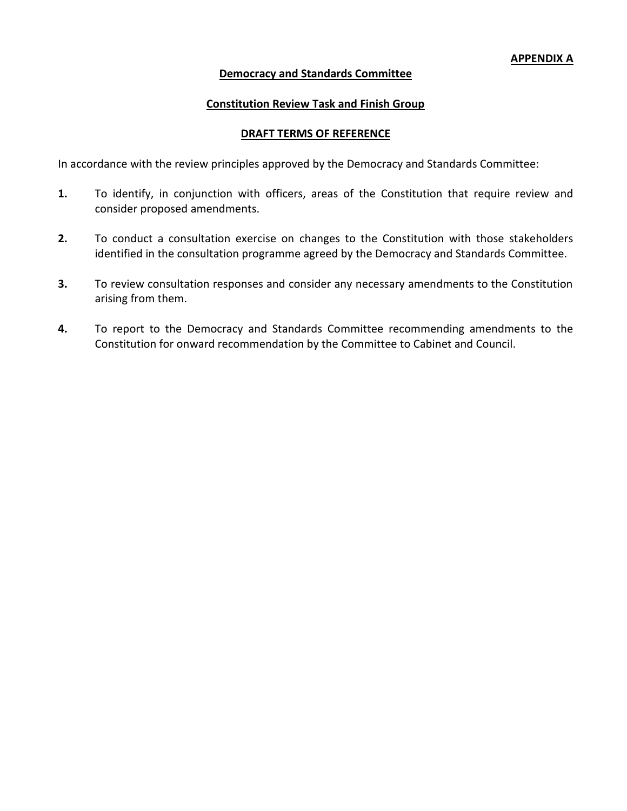#### **Democracy and Standards Committee**

#### **Constitution Review Task and Finish Group**

#### **DRAFT TERMS OF REFERENCE**

In accordance with the review principles approved by the Democracy and Standards Committee:

- **1.** To identify, in conjunction with officers, areas of the Constitution that require review and consider proposed amendments.
- **2.** To conduct a consultation exercise on changes to the Constitution with those stakeholders identified in the consultation programme agreed by the Democracy and Standards Committee.
- **3.** To review consultation responses and consider any necessary amendments to the Constitution arising from them.
- **4.** To report to the Democracy and Standards Committee recommending amendments to the Constitution for onward recommendation by the Committee to Cabinet and Council.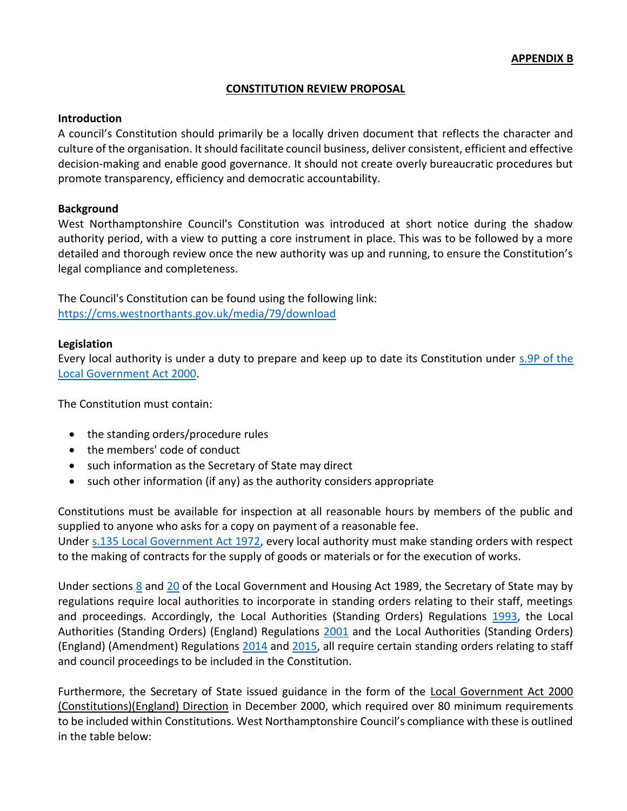#### **CONSTITUTION REVIEW PROPOSAL**

#### **Introduction**

A council's Constitution should primarily be a locally driven document that reflects the character and culture of the organisation. It should facilitate council business, deliver consistent, efficient and effective decision-making and enable good governance. It should not create overly bureaucratic procedures but promote transparency, efficiency and democratic accountability.

#### **Background**

West Northamptonshire Council's Constitution was introduced at short notice during the shadow authority period, with a view to putting a core instrument in place. This was to be followed by a more detailed and thorough review once the new authority was up and running, to ensure the Constitution's legal compliance and completeness.

The Council's Constitution can be found using the following link: <https://cms.westnorthants.gov.uk/media/79/download>

#### **Legislation**

Every local authority is under a duty to prepare and keep up to date its Constitution under [s.9P of the](https://www.legislation.gov.uk/ukpga/2000/22/part/1A/chapter/5/crossheading/local-authority-constitution)  [Local Government Act 2000.](https://www.legislation.gov.uk/ukpga/2000/22/part/1A/chapter/5/crossheading/local-authority-constitution)

The Constitution must contain:

- the standing orders/procedure rules
- the members' code of conduct
- such information as the Secretary of State may direct
- such other information (if any) as the authority considers appropriate

Constitutions must be available for inspection at all reasonable hours by members of the public and supplied to anyone who asks for a copy on payment of a reasonable fee. Under [s.135 Local Government Act 1972,](https://www.legislation.gov.uk/ukpga/1972/70/section/135) every local authority must make standing orders with respect to the making of contracts for the supply of goods or materials or for the execution of works.

Under sections [8](https://www.legislation.gov.uk/ukpga/1989/42/section/8) and [20](https://www.legislation.gov.uk/ukpga/1989/42/part/I/crossheading/duty-to-adopt-certain-procedural-standing-orders) of the Local Government and Housing Act 1989, the Secretary of State may by regulations require local authorities to incorporate in standing orders relating to their staff, meetings and proceedings. Accordingly, the Local Authorities (Standing Orders) Regulations [1993,](https://www.legislation.gov.uk/uksi/1993/202/part/III/made) the Local Authorities (Standing Orders) (England) Regulations [2001](https://www.legislation.gov.uk/uksi/2001/3384/note/made) and the Local Authorities (Standing Orders) (England) (Amendment) Regulations [2014](https://www.legislation.gov.uk/uksi/2014/165/note/made) and [2015,](https://www.legislation.gov.uk/uksi/2015/881/note/made) all require certain standing orders relating to staff and council proceedings to be included in the Constitution.

Furthermore, the Secretary of State issued guidance in the form of the Local Government Act 2000 (Constitutions)(England) Direction in December 2000, which required over 80 minimum requirements to be included within Constitutions. West Northamptonshire Council's compliance with these is outlined in the table below: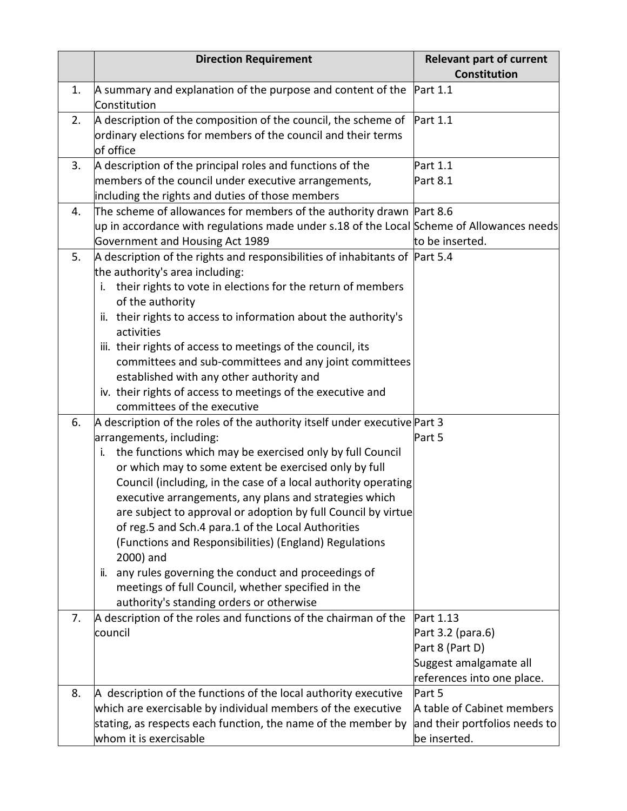|    | <b>Direction Requirement</b>                                                                                                                                                                                                                                                                                                                                                                                                                                                                                                                                                                                                                                                                                               | <b>Relevant part of current</b><br><b>Constitution</b>                                                    |
|----|----------------------------------------------------------------------------------------------------------------------------------------------------------------------------------------------------------------------------------------------------------------------------------------------------------------------------------------------------------------------------------------------------------------------------------------------------------------------------------------------------------------------------------------------------------------------------------------------------------------------------------------------------------------------------------------------------------------------------|-----------------------------------------------------------------------------------------------------------|
| 1. | A summary and explanation of the purpose and content of the<br>Constitution                                                                                                                                                                                                                                                                                                                                                                                                                                                                                                                                                                                                                                                | Part 1.1                                                                                                  |
| 2. | A description of the composition of the council, the scheme of $\mathsf{Part}\,1.1$<br>ordinary elections for members of the council and their terms<br>of office                                                                                                                                                                                                                                                                                                                                                                                                                                                                                                                                                          |                                                                                                           |
| 3. | A description of the principal roles and functions of the<br>members of the council under executive arrangements,<br>including the rights and duties of those members                                                                                                                                                                                                                                                                                                                                                                                                                                                                                                                                                      | Part 1.1<br>Part 8.1                                                                                      |
| 4. | The scheme of allowances for members of the authority drawn Part 8.6<br>up in accordance with regulations made under s.18 of the Local Scheme of Allowances needs<br>Government and Housing Act 1989                                                                                                                                                                                                                                                                                                                                                                                                                                                                                                                       | to be inserted.                                                                                           |
| 5. | $\vert$ A description of the rights and responsibilities of inhabitants of Part 5.4<br>the authority's area including:<br>their rights to vote in elections for the return of members<br>i.<br>of the authority<br>ii. their rights to access to information about the authority's<br>activities<br>iii. their rights of access to meetings of the council, its<br>committees and sub-committees and any joint committees<br>established with any other authority and<br>iv. their rights of access to meetings of the executive and<br>committees of the executive                                                                                                                                                        |                                                                                                           |
| 6. | A description of the roles of the authority itself under executive Part 3<br>arrangements, including:<br>the functions which may be exercised only by full Council<br>i.<br>or which may to some extent be exercised only by full<br>Council (including, in the case of a local authority operating<br>executive arrangements, any plans and strategies which<br>are subject to approval or adoption by full Council by virtue<br>of reg.5 and Sch.4 para.1 of the Local Authorities<br>(Functions and Responsibilities) (England) Regulations<br>2000) and<br>any rules governing the conduct and proceedings of<br>ii.<br>meetings of full Council, whether specified in the<br>authority's standing orders or otherwise | Part 5                                                                                                    |
| 7. | A description of the roles and functions of the chairman of the<br>council                                                                                                                                                                                                                                                                                                                                                                                                                                                                                                                                                                                                                                                 | Part 1.13<br>Part 3.2 (para.6)<br>Part 8 (Part D)<br>Suggest amalgamate all<br>references into one place. |
| 8. | A description of the functions of the local authority executive<br>which are exercisable by individual members of the executive<br>stating, as respects each function, the name of the member by<br>whom it is exercisable                                                                                                                                                                                                                                                                                                                                                                                                                                                                                                 | Part 5<br>A table of Cabinet members<br>and their portfolios needs to<br>be inserted.                     |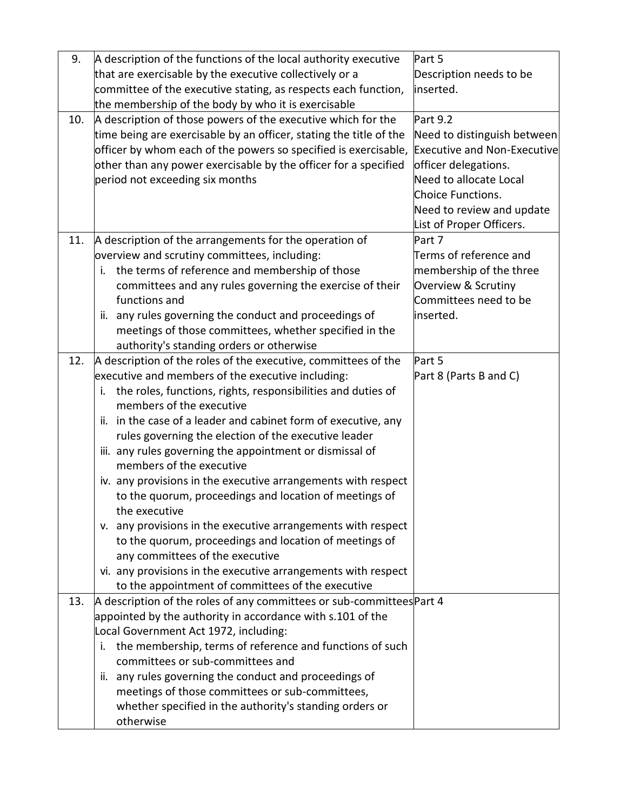| 9.  | A description of the functions of the local authority executive                                              | Part 5                      |
|-----|--------------------------------------------------------------------------------------------------------------|-----------------------------|
|     | that are exercisable by the executive collectively or a                                                      | Description needs to be     |
|     | committee of the executive stating, as respects each function,                                               | inserted.                   |
|     | the membership of the body by who it is exercisable                                                          |                             |
| 10. | A description of those powers of the executive which for the                                                 | Part 9.2                    |
|     | time being are exercisable by an officer, stating the title of the                                           | Need to distinguish between |
|     | officer by whom each of the powers so specified is exercisable, Executive and Non-Executive                  |                             |
|     | other than any power exercisable by the officer for a specified                                              | officer delegations.        |
|     | period not exceeding six months                                                                              | Need to allocate Local      |
|     |                                                                                                              | Choice Functions.           |
|     |                                                                                                              | Need to review and update   |
|     |                                                                                                              | List of Proper Officers.    |
| 11. | A description of the arrangements for the operation of                                                       | Part 7                      |
|     | overview and scrutiny committees, including:                                                                 | Terms of reference and      |
|     | i. the terms of reference and membership of those                                                            | membership of the three     |
|     | committees and any rules governing the exercise of their                                                     | Overview & Scrutiny         |
|     | functions and                                                                                                | Committees need to be       |
|     | ii. any rules governing the conduct and proceedings of                                                       | inserted.                   |
|     | meetings of those committees, whether specified in the                                                       |                             |
|     | authority's standing orders or otherwise                                                                     |                             |
| 12. | A description of the roles of the executive, committees of the                                               | Part 5                      |
|     | executive and members of the executive including:                                                            | Part 8 (Parts B and C)      |
|     | the roles, functions, rights, responsibilities and duties of<br>i.                                           |                             |
|     | members of the executive                                                                                     |                             |
|     | ii. in the case of a leader and cabinet form of executive, any                                               |                             |
|     | rules governing the election of the executive leader                                                         |                             |
|     | iii. any rules governing the appointment or dismissal of                                                     |                             |
|     | members of the executive                                                                                     |                             |
|     | iv. any provisions in the executive arrangements with respect                                                |                             |
|     | to the quorum, proceedings and location of meetings of                                                       |                             |
|     | the executive                                                                                                |                             |
|     | v. any provisions in the executive arrangements with respect                                                 |                             |
|     | to the quorum, proceedings and location of meetings of                                                       |                             |
|     | any committees of the executive                                                                              |                             |
|     | vi. any provisions in the executive arrangements with respect                                                |                             |
|     | to the appointment of committees of the executive                                                            |                             |
| 13. | A description of the roles of any committees or sub-committees Part 4                                        |                             |
|     | appointed by the authority in accordance with s.101 of the                                                   |                             |
|     | Local Government Act 1972, including:<br>the membership, terms of reference and functions of such            |                             |
|     | committees or sub-committees and                                                                             |                             |
|     |                                                                                                              |                             |
|     | any rules governing the conduct and proceedings of<br>ii.<br>meetings of those committees or sub-committees, |                             |
|     |                                                                                                              |                             |
|     | whether specified in the authority's standing orders or<br>otherwise                                         |                             |
|     |                                                                                                              |                             |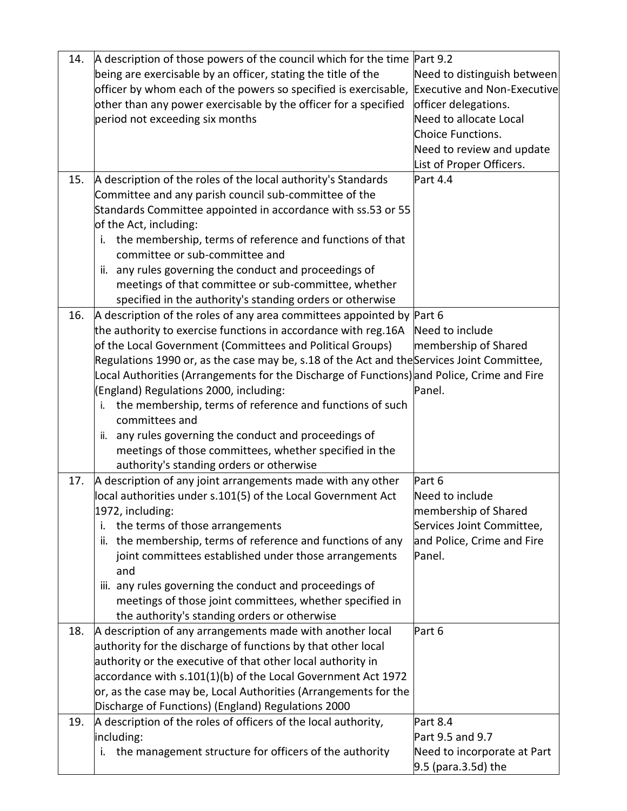| 14. | A description of those powers of the council which for the time Part 9.2                   |                                    |
|-----|--------------------------------------------------------------------------------------------|------------------------------------|
|     | being are exercisable by an officer, stating the title of the                              | Need to distinguish between        |
|     | officer by whom each of the powers so specified is exercisable,                            | <b>Executive and Non-Executive</b> |
|     | other than any power exercisable by the officer for a specified                            | officer delegations.               |
|     | period not exceeding six months                                                            | Need to allocate Local             |
|     |                                                                                            | Choice Functions.                  |
|     |                                                                                            | Need to review and update          |
|     |                                                                                            | List of Proper Officers.           |
| 15. | A description of the roles of the local authority's Standards                              | Part 4.4                           |
|     | Committee and any parish council sub-committee of the                                      |                                    |
|     | Standards Committee appointed in accordance with ss.53 or 55                               |                                    |
|     | of the Act, including:                                                                     |                                    |
|     | the membership, terms of reference and functions of that<br>i.                             |                                    |
|     | committee or sub-committee and                                                             |                                    |
|     | ii. any rules governing the conduct and proceedings of                                     |                                    |
|     | meetings of that committee or sub-committee, whether                                       |                                    |
|     | specified in the authority's standing orders or otherwise                                  |                                    |
| 16. | A description of the roles of any area committees appointed by Part 6                      |                                    |
|     | the authority to exercise functions in accordance with reg.16A                             | Need to include                    |
|     | of the Local Government (Committees and Political Groups)                                  | membership of Shared               |
|     | Regulations 1990 or, as the case may be, s.18 of the Act and the Services Joint Committee, |                                    |
|     | Local Authorities (Arrangements for the Discharge of Functions) and Police, Crime and Fire |                                    |
|     | (England) Regulations 2000, including:                                                     | Panel.                             |
|     | the membership, terms of reference and functions of such                                   |                                    |
|     | committees and                                                                             |                                    |
|     | any rules governing the conduct and proceedings of<br>ii.                                  |                                    |
|     | meetings of those committees, whether specified in the                                     |                                    |
|     | authority's standing orders or otherwise                                                   |                                    |
| 17. | A description of any joint arrangements made with any other                                | Part 6                             |
|     | local authorities under s.101(5) of the Local Government Act                               | Need to include                    |
|     | 1972, including:                                                                           | membership of Shared               |
|     | the terms of those arrangements<br>j,                                                      | Services Joint Committee,          |
|     | the membership, terms of reference and functions of any<br>ii.                             | and Police, Crime and Fire         |
|     | joint committees established under those arrangements                                      | Panel.                             |
|     | and                                                                                        |                                    |
|     | iii. any rules governing the conduct and proceedings of                                    |                                    |
|     | meetings of those joint committees, whether specified in                                   |                                    |
|     | the authority's standing orders or otherwise                                               |                                    |
| 18. | A description of any arrangements made with another local                                  | Part 6                             |
|     | authority for the discharge of functions by that other local                               |                                    |
|     | authority or the executive of that other local authority in                                |                                    |
|     | accordance with s.101(1)(b) of the Local Government Act 1972                               |                                    |
|     | or, as the case may be, Local Authorities (Arrangements for the                            |                                    |
|     | Discharge of Functions) (England) Regulations 2000                                         |                                    |
| 19. | A description of the roles of officers of the local authority,                             | Part 8.4                           |
|     | including:                                                                                 | Part 9.5 and 9.7                   |
|     | the management structure for officers of the authority<br>Ι.                               | Need to incorporate at Part        |
|     |                                                                                            | $9.5$ (para.3.5d) the              |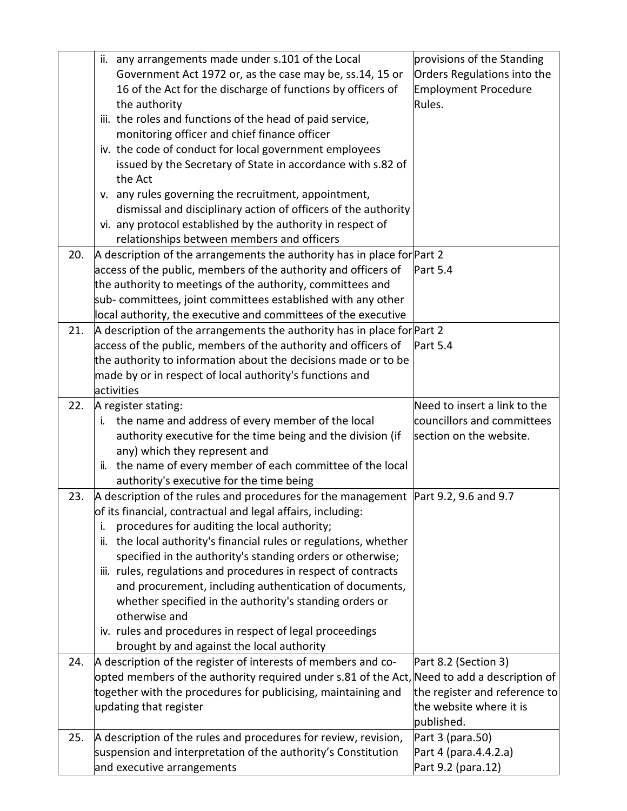|     | ii. any arrangements made under s.101 of the Local                                                                             | provisions of the Standing    |
|-----|--------------------------------------------------------------------------------------------------------------------------------|-------------------------------|
|     | Government Act 1972 or, as the case may be, ss.14, 15 or                                                                       | Orders Regulations into the   |
|     | 16 of the Act for the discharge of functions by officers of                                                                    | <b>Employment Procedure</b>   |
|     | the authority                                                                                                                  | Rules.                        |
|     | iii. the roles and functions of the head of paid service,                                                                      |                               |
|     | monitoring officer and chief finance officer                                                                                   |                               |
|     | iv. the code of conduct for local government employees                                                                         |                               |
|     | issued by the Secretary of State in accordance with s.82 of                                                                    |                               |
|     | the Act                                                                                                                        |                               |
|     | v. any rules governing the recruitment, appointment,                                                                           |                               |
|     | dismissal and disciplinary action of officers of the authority                                                                 |                               |
|     | vi. any protocol established by the authority in respect of                                                                    |                               |
|     | relationships between members and officers                                                                                     |                               |
| 20. | A description of the arrangements the authority has in place for Part 2                                                        |                               |
|     | access of the public, members of the authority and officers of                                                                 | Part 5.4                      |
|     | the authority to meetings of the authority, committees and                                                                     |                               |
|     | sub- committees, joint committees established with any other                                                                   |                               |
|     | local authority, the executive and committees of the executive                                                                 |                               |
| 21. | A description of the arrangements the authority has in place for Part 2                                                        |                               |
|     | access of the public, members of the authority and officers of                                                                 | Part 5.4                      |
|     | the authority to information about the decisions made or to be                                                                 |                               |
|     | made by or in respect of local authority's functions and                                                                       |                               |
|     | activities                                                                                                                     |                               |
| 22. | A register stating:                                                                                                            | Need to insert a link to the  |
|     | the name and address of every member of the local<br>ı.                                                                        | councillors and committees    |
|     | authority executive for the time being and the division (if                                                                    | section on the website.       |
|     | any) which they represent and                                                                                                  |                               |
|     | ii. the name of every member of each committee of the local                                                                    |                               |
| 23. | authority's executive for the time being<br>A description of the rules and procedures for the management Part 9.2, 9.6 and 9.7 |                               |
|     | of its financial, contractual and legal affairs, including:                                                                    |                               |
|     | procedures for auditing the local authority;<br>i.                                                                             |                               |
|     | the local authority's financial rules or regulations, whether<br>ii.                                                           |                               |
|     | specified in the authority's standing orders or otherwise;                                                                     |                               |
|     | iii. rules, regulations and procedures in respect of contracts                                                                 |                               |
|     | and procurement, including authentication of documents,                                                                        |                               |
|     | whether specified in the authority's standing orders or                                                                        |                               |
|     | otherwise and                                                                                                                  |                               |
|     | iv. rules and procedures in respect of legal proceedings                                                                       |                               |
|     | brought by and against the local authority                                                                                     |                               |
| 24. | A description of the register of interests of members and co-                                                                  | Part 8.2 (Section 3)          |
|     | opted members of the authority required under s.81 of the Act, Need to add a description of                                    |                               |
|     | together with the procedures for publicising, maintaining and                                                                  | the register and reference to |
|     | updating that register                                                                                                         | the website where it is       |
|     |                                                                                                                                |                               |
|     |                                                                                                                                | published.                    |
| 25. | A description of the rules and procedures for review, revision,                                                                | Part 3 (para.50)              |
|     | suspension and interpretation of the authority's Constitution                                                                  | Part 4 (para.4.4.2.a)         |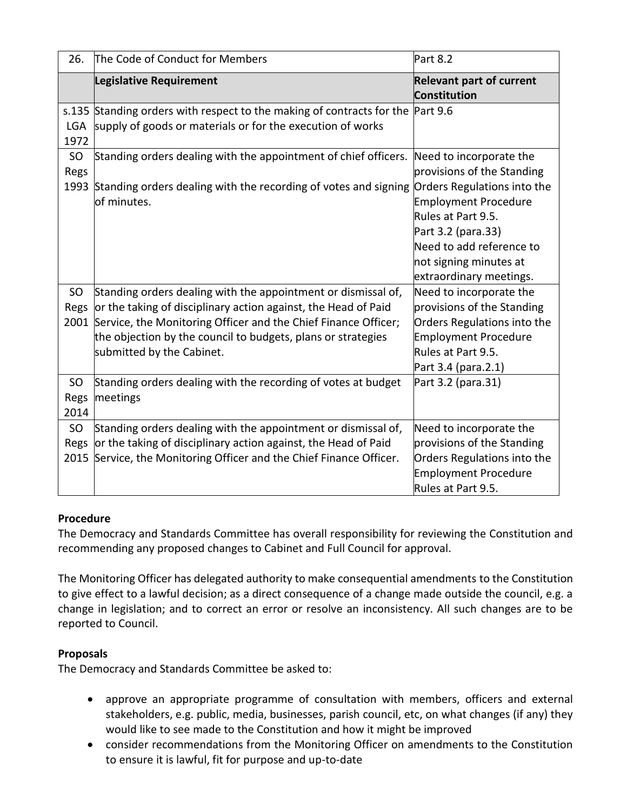| 26.                             | The Code of Conduct for Members                                                                                                                                                                                                    | Part 8.2                                                                                                                                                 |
|---------------------------------|------------------------------------------------------------------------------------------------------------------------------------------------------------------------------------------------------------------------------------|----------------------------------------------------------------------------------------------------------------------------------------------------------|
|                                 | <b>Legislative Requirement</b>                                                                                                                                                                                                     | <b>Relevant part of current</b><br>Constitution                                                                                                          |
| LGA<br>1972                     | s.135 Standing orders with respect to the making of contracts for the Part 9.6<br>supply of goods or materials or for the execution of works                                                                                       |                                                                                                                                                          |
| SO<br>Regs                      | Standing orders dealing with the appointment of chief officers.                                                                                                                                                                    | Need to incorporate the<br>provisions of the Standing                                                                                                    |
| 1993                            | Standing orders dealing with the recording of votes and signing Orders Regulations into the<br>of minutes.                                                                                                                         | <b>Employment Procedure</b><br>Rules at Part 9.5.<br>Part 3.2 (para.33)<br>Need to add reference to<br>not signing minutes at<br>extraordinary meetings. |
| SO.                             | Standing orders dealing with the appointment or dismissal of,                                                                                                                                                                      | Need to incorporate the                                                                                                                                  |
| Regs                            | or the taking of disciplinary action against, the Head of Paid<br>2001 Service, the Monitoring Officer and the Chief Finance Officer;<br>the objection by the council to budgets, plans or strategies<br>submitted by the Cabinet. | provisions of the Standing<br>Orders Regulations into the<br><b>Employment Procedure</b><br>Rules at Part 9.5.<br>Part 3.4 (para.2.1)                    |
| SO <sub>1</sub><br>Regs<br>2014 | Standing orders dealing with the recording of votes at budget<br>meetings                                                                                                                                                          | Part 3.2 (para.31)                                                                                                                                       |
| <b>SO</b><br>Regs               | Standing orders dealing with the appointment or dismissal of,<br>or the taking of disciplinary action against, the Head of Paid<br>2015 Service, the Monitoring Officer and the Chief Finance Officer.                             | Need to incorporate the<br>provisions of the Standing<br>Orders Regulations into the<br><b>Employment Procedure</b><br>Rules at Part 9.5.                |

# **Procedure**

The Democracy and Standards Committee has overall responsibility for reviewing the Constitution and recommending any proposed changes to Cabinet and Full Council for approval.

The Monitoring Officer has delegated authority to make consequential amendments to the Constitution to give effect to a lawful decision; as a direct consequence of a change made outside the council, e.g. a change in legislation; and to correct an error or resolve an inconsistency. All such changes are to be reported to Council.

# **Proposals**

The Democracy and Standards Committee be asked to:

- approve an appropriate programme of consultation with members, officers and external stakeholders, e.g. public, media, businesses, parish council, etc, on what changes (if any) they would like to see made to the Constitution and how it might be improved
- consider recommendations from the Monitoring Officer on amendments to the Constitution to ensure it is lawful, fit for purpose and up-to-date